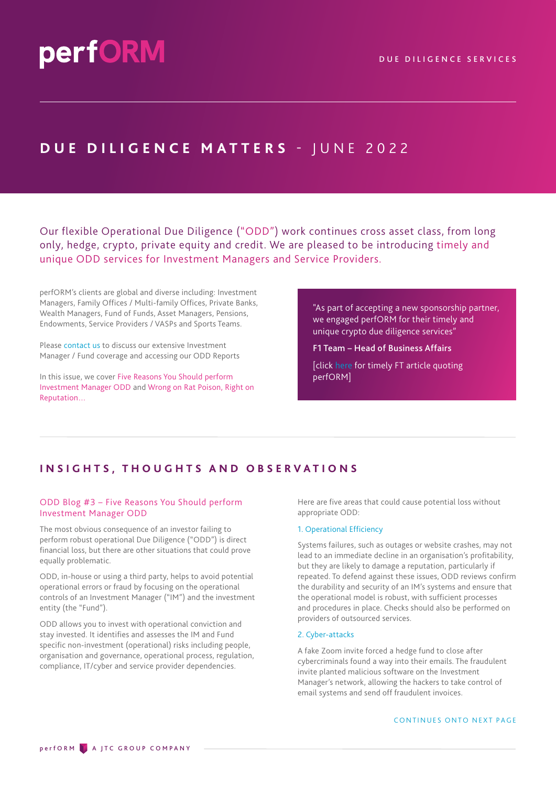# **DUE DILIGENCE MATTERS - JUNE 2022**

Our flexible Operational Due Diligence ("ODD") work continues cross asset class, from long only, hedge, crypto, private equity and credit. We are pleased to be introducing timely and unique ODD services for Investment Managers and Service Providers.

perfORM's clients are global and diverse including: Investment Managers, Family Offices / Multi-family Offices, Private Banks, Wealth Managers, Fund of Funds, Asset Managers, Pensions, Endowments, Service Providers / VASPs and Sports Teams.

Please [contact us](mailto:info%40performdd.com?subject=) to discuss our extensive Investment Manager / Fund coverage and accessing our ODD Reports

In this issue, we cover Five Reasons You Should perform Investment Manager ODD and Wrong on Rat Poison, Right on Reputation…

"As part of accepting a new sponsorship partner, we engaged perfORM for their timely and unique crypto due diligence services"

F1 Team – Head of Business Affairs

[click [here](https://www.ft.com/content/d691820e-114d-4927-8bfa-d18acc83379d) for timely FT article quoting perfORM]

# **INSIGHTS, THOUGHTS AND OBSERVATIONS**

# ODD Blog #3 – Five Reasons You Should perform Investment Manager ODD

The most obvious consequence of an investor failing to perform robust operational Due Diligence ("ODD") is direct financial loss, but there are other situations that could prove equally problematic.

ODD, in-house or using a third party, helps to avoid potential operational errors or fraud by focusing on the operational controls of an Investment Manager ("IM") and the investment entity (the "Fund").

ODD allows you to invest with operational conviction and stay invested. It identifies and assesses the IM and Fund specific non-investment (operational) risks including people, organisation and governance, operational process, regulation, compliance, IT/cyber and service provider dependencies.

Here are five areas that could cause potential loss without appropriate ODD:

### 1. Operational Efficiency

Systems failures, such as outages or website crashes, may not lead to an immediate decline in an organisation's profitability, but they are likely to damage a reputation, particularly if repeated. To defend against these issues, ODD reviews confirm the durability and security of an IM's systems and ensure that the operational model is robust, with sufficient processes and procedures in place. Checks should also be performed on providers of outsourced services.

## 2. Cyber-attacks

A fake Zoom invite forced a hedge fund to close after cybercriminals found a way into their emails. The fraudulent invite planted malicious software on the Investment Manager's network, allowing the hackers to take control of email systems and send off fraudulent invoices.

#### CONTINUES ONTO NEXT PAGE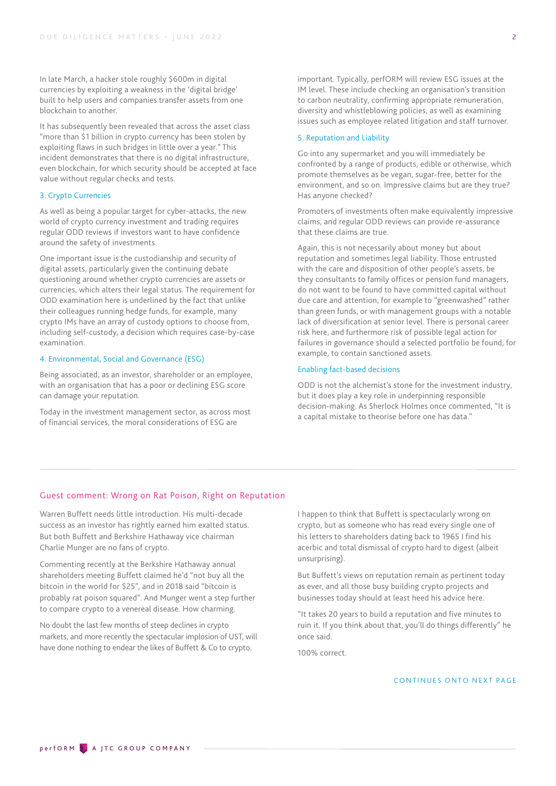In late March, a hacker stole roughly \$600m in digital currencies by exploiting a weakness in the 'digital bridge' built to help users and companies transfer assets from one blockchain to another.

It has subsequently been revealed that across the asset class "more than \$1 billion in crypto currency has been stolen by exploiting flaws in such bridges in little over a year." This incident demonstrates that there is no digital infrastructure, even blockchain, for which security should be accepted at face value without regular checks and tests.

#### 3. Crypto Currencies

As well as being a popular target for cyber-attacks, the new world of crypto currency investment and trading requires regular ODD reviews if investors want to have confidence around the safety of investments.

One important issue is the custodianship and security of digital assets, particularly given the continuing debate questioning around whether crypto currencies are assets or currencies, which alters their legal status. The requirement for ODD examination here is underlined by the fact that unlike their colleagues running hedge funds, for example, many crypto IMs have an array of custody options to choose from, including self-custody, a decision which requires case-by-case examination.

#### 4. Environmental, Social and Governance (ESG)

Being associated, as an investor, shareholder or an employee, with an organisation that has a poor or declining ESG score can damage your reputation.

Today in the investment management sector, as across most of financial services, the moral considerations of ESG are

important. Typically, perfORM will review ESG issues at the IM level. These include checking an organisation's transition to carbon neutrality, confirming appropriate remuneration, diversity and whistleblowing policies, as well as examining issues such as employee related litigation and staff turnover.

#### 5. Reputation and Liability

Go into any supermarket and you will immediately be confronted by a range of products, edible or otherwise, which promote themselves as be vegan, sugar-free, better for the environment, and so on. Impressive claims but are they true? Has anyone checked?

Promoters of investments often make equivalently impressive claims, and regular ODD reviews can provide re-assurance that these claims are true.

Again, this is not necessarily about money but about reputation and sometimes legal liability. Those entrusted with the care and disposition of other people's assets, be they consultants to family offices or pension fund managers, do not want to be found to have committed capital without due care and attention, for example to "greenwashed" rather than green funds, or with management groups with a notable lack of diversification at senior level. There is personal career risk here, and furthermore risk of possible legal action for failures in governance should a selected portfolio be found, for example, to contain sanctioned assets.

#### Enabling fact-based decisions

ODD is not the alchemist's stone for the investment industry, but it does play a key role in underpinning responsible decision-making. As Sherlock Holmes once commented, "It is a capital mistake to theorise before one has data."

# Guest comment: Wrong on Rat Poison, Right on Reputation

Warren Buffett needs little introduction. His multi-decade success as an investor has rightly earned him exalted status. But both Buffett and Berkshire Hathaway vice chairman Charlie Munger are no fans of crypto.

Commenting recently at the Berkshire Hathaway annual shareholders meeting Buffett claimed he'd "not buy all the bitcoin in the world for \$25", and in 2018 said "bitcoin is probably rat poison squared". And Munger went a step further to compare crypto to a venereal disease. How charming.

No doubt the last few months of steep declines in crypto markets, and more recently the spectacular implosion of UST, will have done nothing to endear the likes of Buffett & Co to crypto.

I happen to think that Buffett is spectacularly wrong on crypto, but as someone who has read every single one of his letters to shareholders dating back to 1965 I find his acerbic and total dismissal of crypto hard to digest (albeit unsurprising).

But Buffett's views on reputation remain as pertinent today as ever, and all those busy building crypto projects and businesses today should at least heed his advice here.

"It takes 20 years to build a reputation and five minutes to ruin it. If you think about that, you'll do things differently" he once said.

100% correct.

CONTINUES ONTO NEXT PAGE